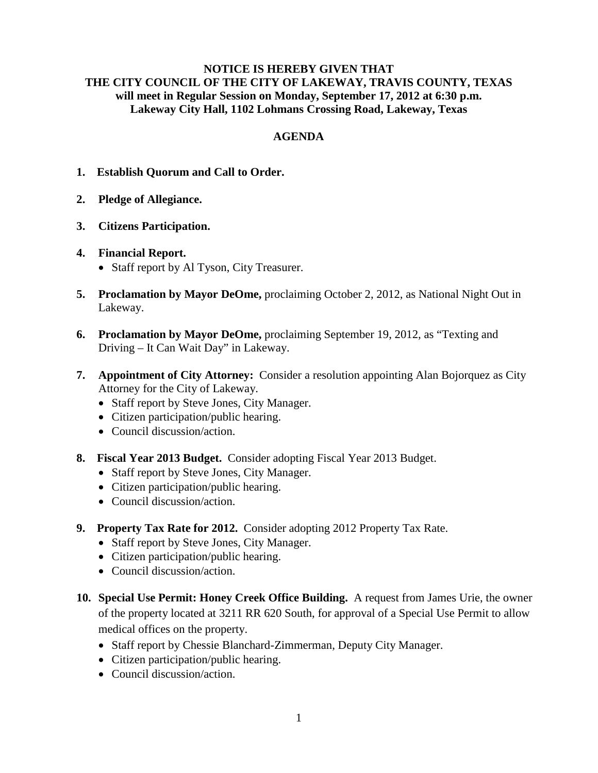## **NOTICE IS HEREBY GIVEN THAT THE CITY COUNCIL OF THE CITY OF LAKEWAY, TRAVIS COUNTY, TEXAS will meet in Regular Session on Monday, September 17, 2012 at 6:30 p.m. Lakeway City Hall, 1102 Lohmans Crossing Road, Lakeway, Texas**

## **AGENDA**

- **1. Establish Quorum and Call to Order.**
- **2. Pledge of Allegiance.**
- **3. Citizens Participation.**

## **4. Financial Report.**

- Staff report by Al Tyson, City Treasurer.
- **5. Proclamation by Mayor DeOme,** proclaiming October 2, 2012, as National Night Out in Lakeway.
- **6. Proclamation by Mayor DeOme,** proclaiming September 19, 2012, as "Texting and Driving – It Can Wait Day" in Lakeway.
- **7. Appointment of City Attorney:** Consider a resolution appointing Alan Bojorquez as City Attorney for the City of Lakeway.
	- Staff report by Steve Jones, City Manager.
	- Citizen participation/public hearing.
	- Council discussion/action.
- **8. Fiscal Year 2013 Budget.** Consider adopting Fiscal Year 2013 Budget.
	- Staff report by Steve Jones, City Manager.
	- Citizen participation/public hearing.
	- Council discussion/action.
- **9. Property Tax Rate for 2012.** Consider adopting 2012 Property Tax Rate.
	- Staff report by Steve Jones, City Manager.
	- Citizen participation/public hearing.
	- Council discussion/action.
- **10. Special Use Permit: Honey Creek Office Building.** A request from James Urie, the owner of the property located at 3211 RR 620 South, for approval of a Special Use Permit to allow medical offices on the property.
	- Staff report by Chessie Blanchard-Zimmerman, Deputy City Manager.
	- Citizen participation/public hearing.
	- Council discussion/action.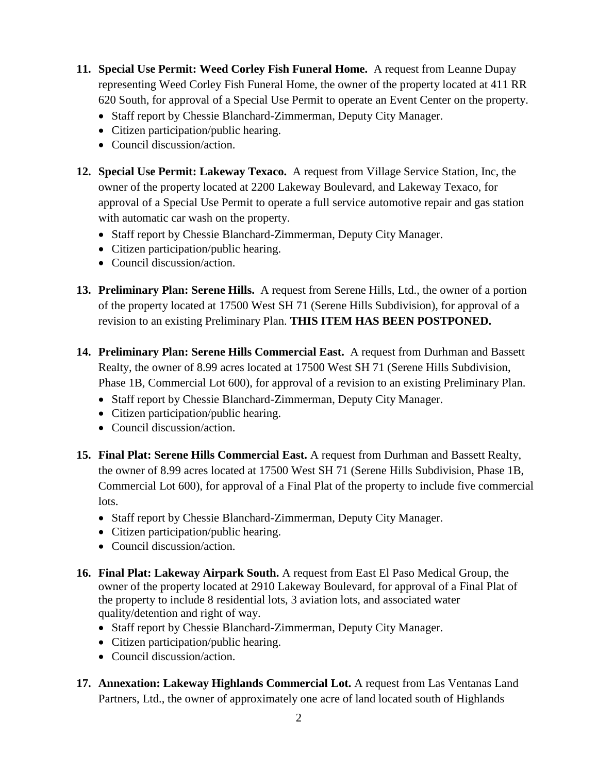- **11. Special Use Permit: Weed Corley Fish Funeral Home.** A request from Leanne Dupay representing Weed Corley Fish Funeral Home, the owner of the property located at 411 RR 620 South, for approval of a Special Use Permit to operate an Event Center on the property.
	- Staff report by Chessie Blanchard-Zimmerman, Deputy City Manager.
	- Citizen participation/public hearing.
	- Council discussion/action.
- **12. Special Use Permit: Lakeway Texaco.** A request from Village Service Station, Inc, the owner of the property located at 2200 Lakeway Boulevard, and Lakeway Texaco, for approval of a Special Use Permit to operate a full service automotive repair and gas station with automatic car wash on the property.
	- Staff report by Chessie Blanchard-Zimmerman, Deputy City Manager.
	- Citizen participation/public hearing.
	- Council discussion/action.
- **13. Preliminary Plan: Serene Hills.** A request from Serene Hills, Ltd., the owner of a portion of the property located at 17500 West SH 71 (Serene Hills Subdivision), for approval of a revision to an existing Preliminary Plan. **THIS ITEM HAS BEEN POSTPONED.**
- **14. Preliminary Plan: Serene Hills Commercial East.** A request from Durhman and Bassett Realty, the owner of 8.99 acres located at 17500 West SH 71 (Serene Hills Subdivision, Phase 1B, Commercial Lot 600), for approval of a revision to an existing Preliminary Plan.
	- Staff report by Chessie Blanchard-Zimmerman, Deputy City Manager.
	- Citizen participation/public hearing.
	- Council discussion/action.
- **15. Final Plat: Serene Hills Commercial East.** A request from Durhman and Bassett Realty, the owner of 8.99 acres located at 17500 West SH 71 (Serene Hills Subdivision, Phase 1B, Commercial Lot 600), for approval of a Final Plat of the property to include five commercial lots.
	- Staff report by Chessie Blanchard-Zimmerman, Deputy City Manager.
	- Citizen participation/public hearing.
	- Council discussion/action.
- **16. Final Plat: Lakeway Airpark South.** A request from East El Paso Medical Group, the owner of the property located at 2910 Lakeway Boulevard, for approval of a Final Plat of the property to include 8 residential lots, 3 aviation lots, and associated water quality/detention and right of way.
	- Staff report by Chessie Blanchard-Zimmerman, Deputy City Manager.
	- Citizen participation/public hearing.
	- Council discussion/action.
- **17. Annexation: Lakeway Highlands Commercial Lot.** A request from Las Ventanas Land Partners, Ltd., the owner of approximately one acre of land located south of Highlands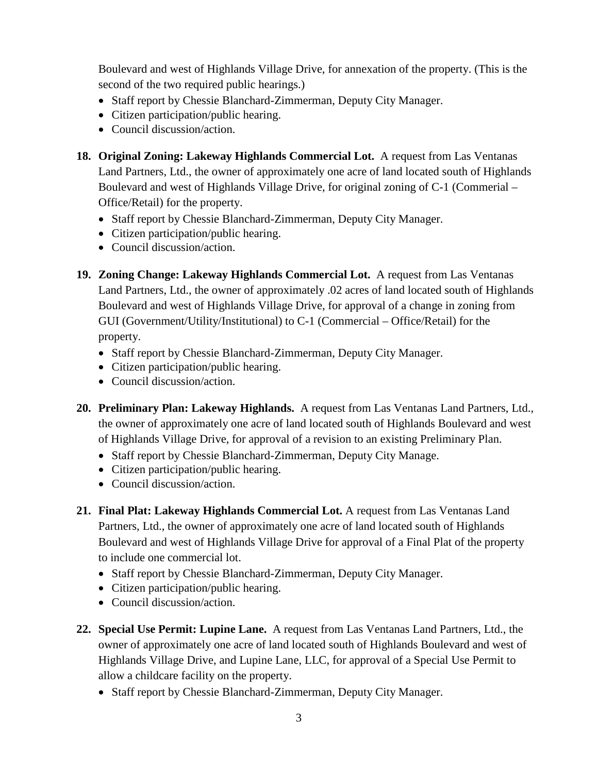Boulevard and west of Highlands Village Drive, for annexation of the property. (This is the second of the two required public hearings.)

- Staff report by Chessie Blanchard-Zimmerman, Deputy City Manager.
- Citizen participation/public hearing.
- Council discussion/action.
- **18. Original Zoning: Lakeway Highlands Commercial Lot.** A request from Las Ventanas Land Partners, Ltd., the owner of approximately one acre of land located south of Highlands Boulevard and west of Highlands Village Drive, for original zoning of C-1 (Commerial – Office/Retail) for the property.
	- Staff report by Chessie Blanchard-Zimmerman, Deputy City Manager.
	- Citizen participation/public hearing.
	- Council discussion/action.
- **19. Zoning Change: Lakeway Highlands Commercial Lot.** A request from Las Ventanas Land Partners, Ltd., the owner of approximately .02 acres of land located south of Highlands Boulevard and west of Highlands Village Drive, for approval of a change in zoning from GUI (Government/Utility/Institutional) to C-1 (Commercial – Office/Retail) for the property.
	- Staff report by Chessie Blanchard-Zimmerman, Deputy City Manager.
	- Citizen participation/public hearing.
	- Council discussion/action.
- **20. Preliminary Plan: Lakeway Highlands.** A request from Las Ventanas Land Partners, Ltd., the owner of approximately one acre of land located south of Highlands Boulevard and west of Highlands Village Drive, for approval of a revision to an existing Preliminary Plan.
	- Staff report by Chessie Blanchard-Zimmerman, Deputy City Manage.
	- Citizen participation/public hearing.
	- Council discussion/action.
- **21. Final Plat: Lakeway Highlands Commercial Lot.** A request from Las Ventanas Land Partners, Ltd., the owner of approximately one acre of land located south of Highlands Boulevard and west of Highlands Village Drive for approval of a Final Plat of the property to include one commercial lot.
	- Staff report by Chessie Blanchard-Zimmerman, Deputy City Manager.
	- Citizen participation/public hearing.
	- Council discussion/action.
- **22. Special Use Permit: Lupine Lane.** A request from Las Ventanas Land Partners, Ltd., the owner of approximately one acre of land located south of Highlands Boulevard and west of Highlands Village Drive, and Lupine Lane, LLC, for approval of a Special Use Permit to allow a childcare facility on the property.
	- Staff report by Chessie Blanchard-Zimmerman, Deputy City Manager.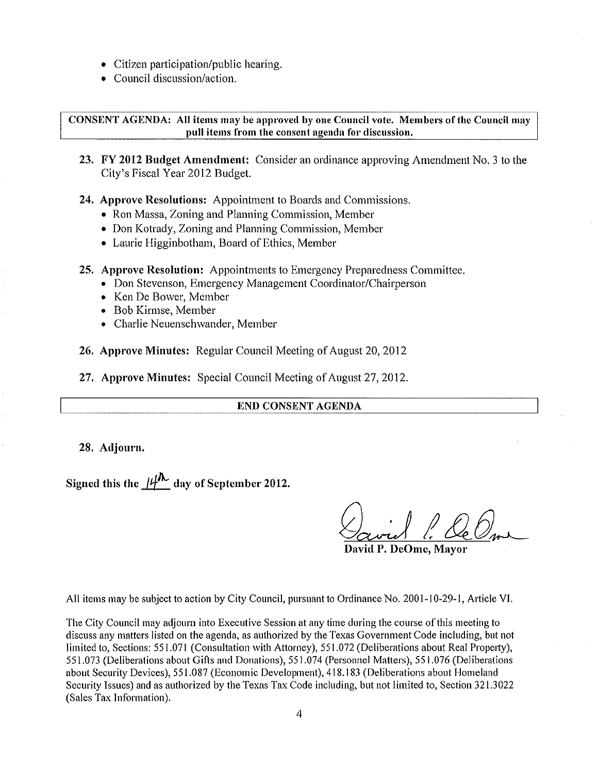- Citizen participation/public hearing.
- Council discussion/action.

**CONSENT AGENDA:** All items may be approved by one Council vote. Members of the Council may pull items from the consent agenda for discussion.

23. FY 2012 Budget Amendment: Consider an ordinance approving Amendment No. 3 to the City's Fiscal Year 2012 Budget.

24. Approve Resolutions: Appointment to Boards and Commissions.

- Ron Massa, Zoning and Planning Commission, Member
- Don Kotrady, Zoning and Planning Commission, Member
- Laurie Higginbotham, Board of Ethics, Member

25. Approve Resolution: Appointments to Emergency Preparedness Committee.

- Don Stevenson, Emergency Management Coordinator/Chairperson
- Ken De Bower, Member
- Bob Kirmse, Member
- Charlie Neuenschwander, Member

26. Approve Minutes: Regular Council Meeting of August 20, 2012

27. Approve Minutes: Special Council Meeting of August 27, 2012.

## END CONSENT AGENDA

28. Adjourn.

Signed this the  $\mu$ <sup>1</sup> day of September 2012.

David P. DeOme. Mavor

All items may be subject to action by City Council, pursuant to Ordinance No. 2001-10-29-1, Article VI.

The City Council may adjourn into Executive Session at any time during the course of this meeting to discuss any matters listed on the agenda, as authorized by the Texas Government Code including, but not limited to, Sections: 551.071 (Consultation with Attorney), 551.072 (Deliberations about Real Property), 551.073 (Deliberations about Gifts and Donations), 551.074 (Personnel Matters), 551.076 (Deliberations about Security Devices), 551.087 (Economic Development), 418.183 (Deliberations about Homeland Security Issues) and as authorized by the Texas Tax Code including, but not limited to, Section 321,3022 (Sales Tax Information).